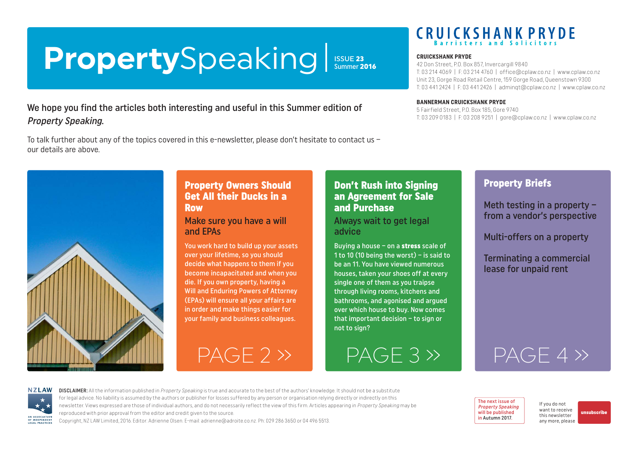### <span id="page-0-0"></span>**Property**Speaking **ISSUE 23**<br>Summer 2016

#### We hope you find the articles both interesting and useful in this Summer edition of Property Speaking.

To talk further about any of the topics covered in this e-newsletter, please don't hesitate to contact us – our details are above.

#### Property Owners Should Get All their Ducks in a Row

Make sure you have a will and EPAs

You work hard to build up your assets over your lifetime, so you should decide what happens to them if you become incapacitated and when you die. If you own property, having a Will and Enduring Powers of Attorney (EPAs) will ensure all your affairs are in order and make things easier for your family and business colleagues.

#### Don't Rush into Signing an Agreement for Sale and Purchase

Always wait to get legal advice

Buying a house – on a stress scale of 1 to 10 (10 being the worst) – is said to be an 11. You have viewed numerous houses, taken your shoes off at every single one of them as you traipse through living rooms, kitchens and bathrooms, and agonised and argued over which house to buy. Now comes that important decision – to sign or not to sign?

[PAGE 2 »](#page-1-0) [PAGE 3 »](#page-2-0) [PAGE 4 »](#page-3-0)

# **CRUICKSHANK PRYDE**

#### **CRUICKSHANK PRYDE**

42 Don Street, P.O. Box 857, Invercargill 9840 T: 03 214 4069 | F: 03 214 4760 | [office@cplaw.co.nz](mailto:office%40cplaw.co.nz?subject=) | www.cplaw.co.nz Unit 23, Gorge Road Retail Centre, 159 Gorge Road, Queenstown 9300 T: 03 441 2424 | F: 03 441 2426 | adminqt@cplaw.co.nz | www.cplaw.co.nz

#### **BANNERMAN CRUICKSHANK PRYDE**

5 Fairfield Street, P.O. Box 185, Gore 9740 T: 03 209 0183 | F: 03 208 9251 | gore@cplaw.co.nz | www.cplaw.co.nz

### Property Briefs

Meth testing in a property – from a vendor's perspective

Multi-offers on a property

Terminating a commercial lease for unpaid rent

**NZLAW** AN ASSOCIATION OF INDEPENDEN LEGAL PRACTICE

DISCLAIMER: All the information published in Property Speaking is true and accurate to the best of the authors' knowledge. It should not be a substitute for legal advice. No liability is assumed by the authors or publisher for losses suffered by any person or organisation relying directly or indirectly on this newsletter. Views expressed are those of individual authors, and do not necessarily reflect the view of this firm. Articles appearing in Property Speaking may be reproduced with prior approval from the editor and credit given to the source. Copyright, NZ LAW Limited, 2016. Editor: Adrienne Olsen. [E-mail: adrienne@adroite.co.nz](mailto:adrienne@adroite.co.nz). Ph: 029 286 3650 or 04 496 5513.

The next issue of Property Speaking will be published in Autumn 2017.

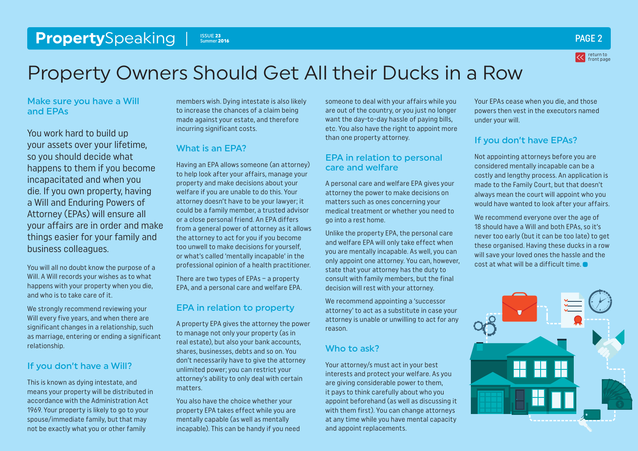#### <span id="page-1-0"></span>**Property**Speaking PS Summer 2016 **Contract Contract Contract Contract Contract Contract Contract Contract Contract Contract Contract Contract Contract Contract Contract Contract Contract Contract Contract Contract Contrac** Summer 2016



## Property Owners Should Get All their Ducks in a Row

Make sure you have a Will and EPAs

You work hard to build up your assets over your lifetime, so you should decide what happens to them if you become incapacitated and when you die. If you own property, having a Will and Enduring Powers of Attorney (EPAs) will ensure all your affairs are in order and make things easier for your family and business colleagues.

You will all no doubt know the purpose of a Will. A Will records your wishes as to what happens with your property when you die, and who is to take care of it.

We strongly recommend reviewing your Will every five years, and when there are significant changes in a relationship, such as marriage, entering or ending a significant relationship.

#### If you don't have a Will?

This is known as dying intestate, and means your property will be distributed in accordance with the Administration Act 1969. Your property is likely to go to your spouse/immediate family, but that may not be exactly what you or other family

members wish. Dying intestate is also likely to increase the chances of a claim being made against your estate, and therefore incurring significant costs.

#### What is an EPA?

Having an EPA allows someone (an attorney) to help look after your affairs, manage your property and make decisions about your welfare if you are unable to do this. Your attorney doesn't have to be your lawyer; it could be a family member, a trusted advisor or a close personal friend. An EPA differs from a general power of attorney as it allows the attorney to act for you if you become too unwell to make decisions for yourself, or what's called 'mentally incapable' in the professional opinion of a health practitioner.

There are two types of EPAs – a property EPA, and a personal care and welfare EPA.

#### EPA in relation to property

A property EPA gives the attorney the power to manage not only your property (as in real estate), but also your bank accounts, shares, businesses, debts and so on. You don't necessarily have to give the attorney unlimited power; you can restrict your attorney's ability to only deal with certain matters.

You also have the choice whether your property EPA takes effect while you are mentally capable (as well as mentally incapable). This can be handy if you need someone to deal with your affairs while you are out of the country, or you just no longer want the day-to-day hassle of paying bills, etc. You also have the right to appoint more than one property attorney.

#### EPA in relation to personal care and welfare

A personal care and welfare EPA gives your attorney the power to make decisions on matters such as ones concerning your medical treatment or whether you need to go into a rest home.

Unlike the property EPA, the personal care and welfare EPA will only take effect when you are mentally incapable. As well, you can only appoint one attorney. You can, however, state that your attorney has the duty to consult with family members, but the final decision will rest with your attorney.

We recommend appointing a 'successor attorney' to act as a substitute in case your attorney is unable or unwilling to act for any reason.

#### Who to ask?

Your attorney/s must act in your best interests and protect your welfare. As you are giving considerable power to them, it pays to think carefully about who you appoint beforehand (as well as discussing it with them first). You can change attorneys at any time while you have mental capacity and appoint replacements.

Your EPAs cease when you die, and those powers then vest in the executors named under your will.

#### If you don't have EPAs?

Not appointing attorneys before you are considered mentally incapable can be a costly and lengthy process. An application is made to the Family Court, but that doesn't always mean the court will appoint who you would have wanted to look after your affairs.

We recommend everyone over the age of 18 should have a Will and both EPAs, so it's never too early (but it can be too late) to get these organised. Having these ducks in a row will save your loved ones the hassle and the cost at what will be a difficult time.

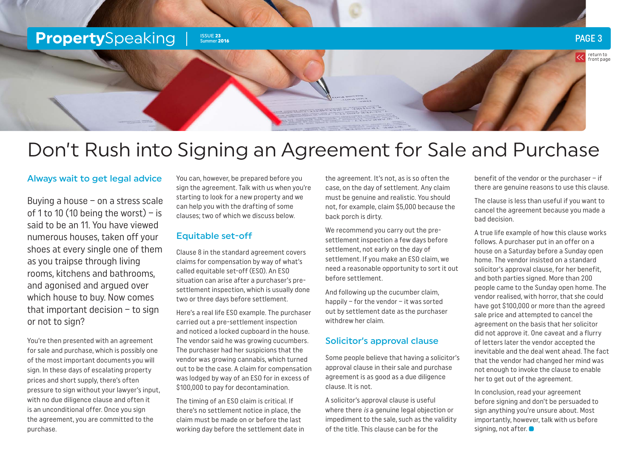#### <span id="page-2-0"></span>**Property**Speaking Issue 23 Summer 2016

#### PAGE 3



### Don't Rush into Signing an Agreement for Sale and Purchase

#### Always wait to get legal advice

Buying a house – on a stress scale of 1 to 10 (10 being the worst) – is said to be an 11. You have viewed numerous houses, taken off your shoes at every single one of them as you traipse through living rooms, kitchens and bathrooms, and agonised and argued over which house to buy. Now comes that important decision – to sign or not to sign?

You're then presented with an agreement for sale and purchase, which is possibly one of the most important documents you will sign. In these days of escalating property prices and short supply, there's often pressure to sign without your lawyer's input, with no due diligence clause and often it is an unconditional offer. Once you sign the agreement, you are committed to the purchase.

You can, however, be prepared before you sign the agreement. Talk with us when you're starting to look for a new property and we can help you with the drafting of some clauses; two of which we discuss below.

#### Equitable set-off

Clause 8 in the standard agreement covers claims for compensation by way of what's called equitable set-off (ESO). An ESO situation can arise after a purchaser's presettlement inspection, which is usually done two or three days before settlement.

Here's a real life ESO example. The purchaser carried out a pre-settlement inspection and noticed a locked cupboard in the house. The vendor said he was growing cucumbers. The purchaser had her suspicions that the vendor was growing cannabis, which turned out to be the case. A claim for compensation was lodged by way of an ESO for in excess of \$100,000 to pay for decontamination.

The timing of an ESO claim is critical. If there's no settlement notice in place, the claim must be made on or before the last working day before the settlement date in

the agreement. It's not, as is so often the case, on the day of settlement. Any claim must be genuine and realistic. You should not, for example, claim \$5,000 because the back porch is dirty.

We recommend you carry out the presettlement inspection a few days before settlement, not early on the day of settlement. If you make an ESO claim, we need a reasonable opportunity to sort it out before settlement.

And following up the cucumber claim, happily – for the vendor – it was sorted out by settlement date as the purchaser withdrew her claim.

#### Solicitor's approval clause

Some people believe that having a solicitor's approval clause in their sale and purchase agreement is as good as a due diligence clause. It is not.

A solicitor's approval clause is useful where there *is* a genuine legal objection or impediment to the sale, such as the validity of the title. This clause can be for the

benefit of the vendor or the purchaser – if there are genuine reasons to use this clause.

The clause is less than useful if you want to cancel the agreement because you made a bad decision.

A true life example of how this clause works follows. A purchaser put in an offer on a house on a Saturday before a Sunday open home. The vendor insisted on a standard solicitor's approval clause, for her benefit, and both parties signed. More than 200 people came to the Sunday open home. The vendor realised, with horror, that she could have got \$100,000 or more than the agreed sale price and attempted to cancel the agreement on the basis that her solicitor did not approve it. One caveat and a flurry of letters later the vendor accepted the inevitable and the deal went ahead. The fact that the vendor had changed her mind was not enough to invoke the clause to enable her to get out of the agreement.

In conclusion, read your agreement before signing and don't be persuaded to sign anything you're unsure about. Most importantly, however, talk with us before signing, not after.